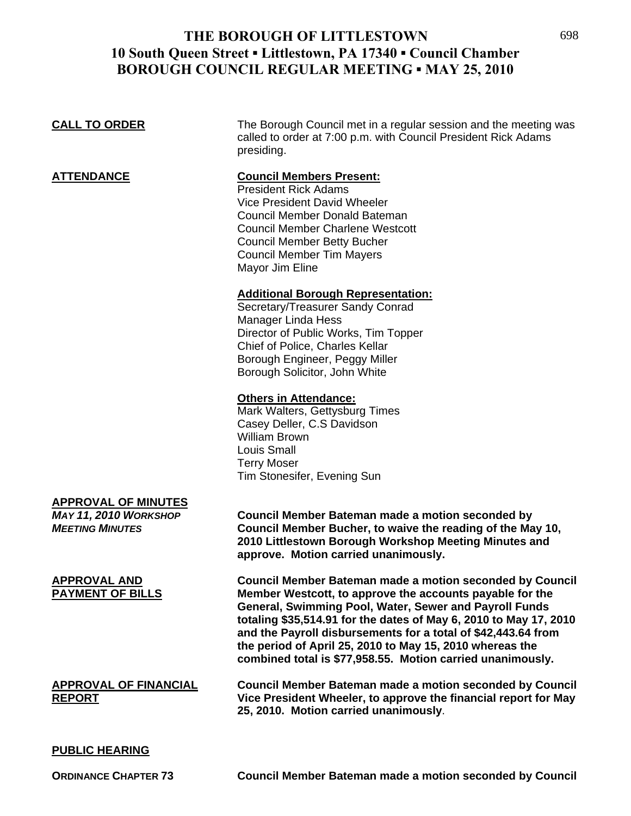| <b>CALL TO ORDER</b>                                                                 | The Borough Council met in a regular session and the meeting was<br>called to order at 7:00 p.m. with Council President Rick Adams<br>presiding.                                                                                                                                                                                                                                                                                               |
|--------------------------------------------------------------------------------------|------------------------------------------------------------------------------------------------------------------------------------------------------------------------------------------------------------------------------------------------------------------------------------------------------------------------------------------------------------------------------------------------------------------------------------------------|
| <b>ATTENDANCE</b>                                                                    | <b>Council Members Present:</b><br><b>President Rick Adams</b><br>Vice President David Wheeler<br><b>Council Member Donald Bateman</b><br><b>Council Member Charlene Westcott</b><br><b>Council Member Betty Bucher</b><br><b>Council Member Tim Mayers</b><br>Mayor Jim Eline                                                                                                                                                                 |
|                                                                                      | <b>Additional Borough Representation:</b><br>Secretary/Treasurer Sandy Conrad<br>Manager Linda Hess<br>Director of Public Works, Tim Topper<br>Chief of Police, Charles Kellar<br>Borough Engineer, Peggy Miller<br>Borough Solicitor, John White                                                                                                                                                                                              |
|                                                                                      | <b>Others in Attendance:</b><br>Mark Walters, Gettysburg Times<br>Casey Deller, C.S Davidson<br><b>William Brown</b><br><b>Louis Small</b><br><b>Terry Moser</b><br>Tim Stonesifer, Evening Sun                                                                                                                                                                                                                                                |
| <b>APPROVAL OF MINUTES</b><br><b>MAY 11, 2010 WORKSHOP</b><br><b>MEETING MINUTES</b> | Council Member Bateman made a motion seconded by<br>Council Member Bucher, to waive the reading of the May 10,<br>2010 Littlestown Borough Workshop Meeting Minutes and<br>approve. Motion carried unanimously.                                                                                                                                                                                                                                |
| <b>APPROVAL AND</b><br><b>PAYMENT OF BILLS</b>                                       | Council Member Bateman made a motion seconded by Council<br>Member Westcott, to approve the accounts payable for the<br>General, Swimming Pool, Water, Sewer and Payroll Funds<br>totaling \$35,514.91 for the dates of May 6, 2010 to May 17, 2010<br>and the Payroll disbursements for a total of \$42,443.64 from<br>the period of April 25, 2010 to May 15, 2010 whereas the<br>combined total is \$77,958.55. Motion carried unanimously. |
| <b>APPROVAL OF FINANCIAL</b><br><b>REPORT</b>                                        | <b>Council Member Bateman made a motion seconded by Council</b><br>Vice President Wheeler, to approve the financial report for May<br>25, 2010. Motion carried unanimously.                                                                                                                                                                                                                                                                    |
| <b>PUBLIC HEARING</b>                                                                |                                                                                                                                                                                                                                                                                                                                                                                                                                                |

**ORDINANCE CHAPTER 73 Council Member Bateman made a motion seconded by Council**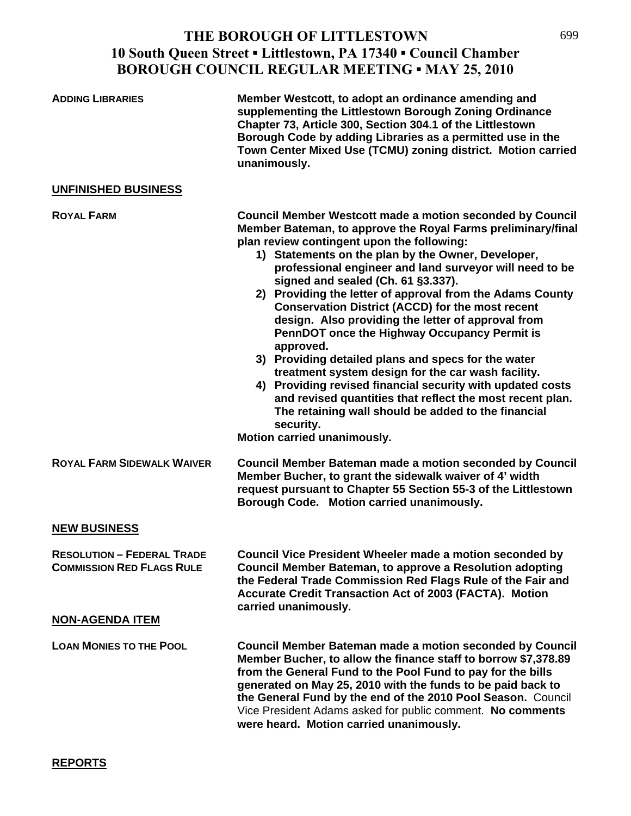| <b>ADDING LIBRARIES</b>                                               | Member Westcott, to adopt an ordinance amending and<br>supplementing the Littlestown Borough Zoning Ordinance<br>Chapter 73, Article 300, Section 304.1 of the Littlestown<br>Borough Code by adding Libraries as a permitted use in the<br>Town Center Mixed Use (TCMU) zoning district. Motion carried<br>unanimously.                                                                                                                                                                                                                                                                                                                                                                                                                                                                                                                                                                                                    |
|-----------------------------------------------------------------------|-----------------------------------------------------------------------------------------------------------------------------------------------------------------------------------------------------------------------------------------------------------------------------------------------------------------------------------------------------------------------------------------------------------------------------------------------------------------------------------------------------------------------------------------------------------------------------------------------------------------------------------------------------------------------------------------------------------------------------------------------------------------------------------------------------------------------------------------------------------------------------------------------------------------------------|
| <b>UNFINISHED BUSINESS</b>                                            |                                                                                                                                                                                                                                                                                                                                                                                                                                                                                                                                                                                                                                                                                                                                                                                                                                                                                                                             |
| <b>ROYAL FARM</b>                                                     | <b>Council Member Westcott made a motion seconded by Council</b><br>Member Bateman, to approve the Royal Farms preliminary/final<br>plan review contingent upon the following:<br>1) Statements on the plan by the Owner, Developer,<br>professional engineer and land surveyor will need to be<br>signed and sealed (Ch. 61 §3.337).<br>2) Providing the letter of approval from the Adams County<br><b>Conservation District (ACCD) for the most recent</b><br>design. Also providing the letter of approval from<br>PennDOT once the Highway Occupancy Permit is<br>approved.<br>3) Providing detailed plans and specs for the water<br>treatment system design for the car wash facility.<br>4) Providing revised financial security with updated costs<br>and revised quantities that reflect the most recent plan.<br>The retaining wall should be added to the financial<br>security.<br>Motion carried unanimously. |
| <b>ROYAL FARM SIDEWALK WAIVER</b>                                     | <b>Council Member Bateman made a motion seconded by Council</b><br>Member Bucher, to grant the sidewalk waiver of 4' width<br>request pursuant to Chapter 55 Section 55-3 of the Littlestown<br>Borough Code. Motion carried unanimously.                                                                                                                                                                                                                                                                                                                                                                                                                                                                                                                                                                                                                                                                                   |
| <b>NEW BUSINESS</b>                                                   |                                                                                                                                                                                                                                                                                                                                                                                                                                                                                                                                                                                                                                                                                                                                                                                                                                                                                                                             |
| <b>RESOLUTION - FEDERAL TRADE</b><br><b>COMMISSION RED FLAGS RULE</b> | Council Vice President Wheeler made a motion seconded by<br><b>Council Member Bateman, to approve a Resolution adopting</b><br>the Federal Trade Commission Red Flags Rule of the Fair and<br><b>Accurate Credit Transaction Act of 2003 (FACTA). Motion</b><br>carried unanimously.                                                                                                                                                                                                                                                                                                                                                                                                                                                                                                                                                                                                                                        |
| <b>NON-AGENDA ITEM</b>                                                |                                                                                                                                                                                                                                                                                                                                                                                                                                                                                                                                                                                                                                                                                                                                                                                                                                                                                                                             |
| <b>LOAN MONIES TO THE POOL</b>                                        | <b>Council Member Bateman made a motion seconded by Council</b><br>Member Bucher, to allow the finance staff to borrow \$7,378.89<br>from the General Fund to the Pool Fund to pay for the bills<br>generated on May 25, 2010 with the funds to be paid back to<br>the General Fund by the end of the 2010 Pool Season. Council<br>Vice President Adams asked for public comment. No comments<br>were heard. Motion carried unanimously.                                                                                                                                                                                                                                                                                                                                                                                                                                                                                    |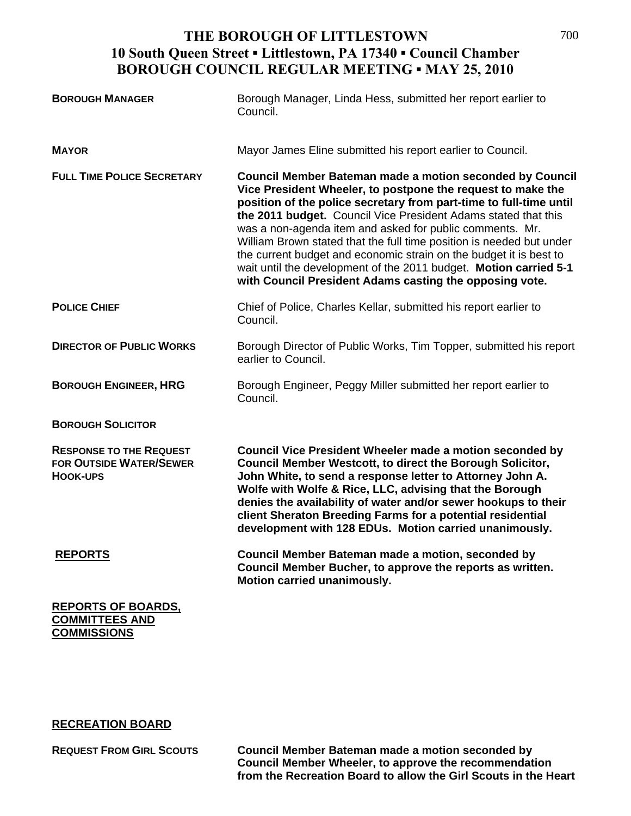| <b>BOROUGH MANAGER</b>                                                              | Borough Manager, Linda Hess, submitted her report earlier to<br>Council.                                                                                                                                                                                                                                                                                                                                                                                                                                                                                                                                         |
|-------------------------------------------------------------------------------------|------------------------------------------------------------------------------------------------------------------------------------------------------------------------------------------------------------------------------------------------------------------------------------------------------------------------------------------------------------------------------------------------------------------------------------------------------------------------------------------------------------------------------------------------------------------------------------------------------------------|
| <b>MAYOR</b>                                                                        | Mayor James Eline submitted his report earlier to Council.                                                                                                                                                                                                                                                                                                                                                                                                                                                                                                                                                       |
| <b>FULL TIME POLICE SECRETARY</b>                                                   | <b>Council Member Bateman made a motion seconded by Council</b><br>Vice President Wheeler, to postpone the request to make the<br>position of the police secretary from part-time to full-time until<br>the 2011 budget. Council Vice President Adams stated that this<br>was a non-agenda item and asked for public comments. Mr.<br>William Brown stated that the full time position is needed but under<br>the current budget and economic strain on the budget it is best to<br>wait until the development of the 2011 budget. Motion carried 5-1<br>with Council President Adams casting the opposing vote. |
| <b>POLICE CHIEF</b>                                                                 | Chief of Police, Charles Kellar, submitted his report earlier to<br>Council.                                                                                                                                                                                                                                                                                                                                                                                                                                                                                                                                     |
| <b>DIRECTOR OF PUBLIC WORKS</b>                                                     | Borough Director of Public Works, Tim Topper, submitted his report<br>earlier to Council.                                                                                                                                                                                                                                                                                                                                                                                                                                                                                                                        |
| <b>BOROUGH ENGINEER, HRG</b>                                                        | Borough Engineer, Peggy Miller submitted her report earlier to<br>Council.                                                                                                                                                                                                                                                                                                                                                                                                                                                                                                                                       |
| <b>BOROUGH SOLICITOR</b>                                                            |                                                                                                                                                                                                                                                                                                                                                                                                                                                                                                                                                                                                                  |
| <b>RESPONSE TO THE REQUEST</b><br><b>FOR OUTSIDE WATER/SEWER</b><br><b>HOOK-UPS</b> | <b>Council Vice President Wheeler made a motion seconded by</b><br>Council Member Westcott, to direct the Borough Solicitor,<br>John White, to send a response letter to Attorney John A.<br>Wolfe with Wolfe & Rice, LLC, advising that the Borough<br>denies the availability of water and/or sewer hookups to their<br>client Sheraton Breeding Farms for a potential residential<br>development with 128 EDUs. Motion carried unanimously.                                                                                                                                                                   |
| <b>REPORTS</b>                                                                      | Council Member Bateman made a motion, seconded by<br>Council Member Bucher, to approve the reports as written.<br>Motion carried unanimously.                                                                                                                                                                                                                                                                                                                                                                                                                                                                    |
| <b>REPORTS OF BOARDS,</b><br><b>COMMITTEES AND</b><br><b>COMMISSIONS</b>            |                                                                                                                                                                                                                                                                                                                                                                                                                                                                                                                                                                                                                  |

#### **RECREATION BOARD**

**REQUEST FROM GIRL SCOUTS Council Member Bateman made a motion seconded by Council Member Wheeler, to approve the recommendation from the Recreation Board to allow the Girl Scouts in the Heart**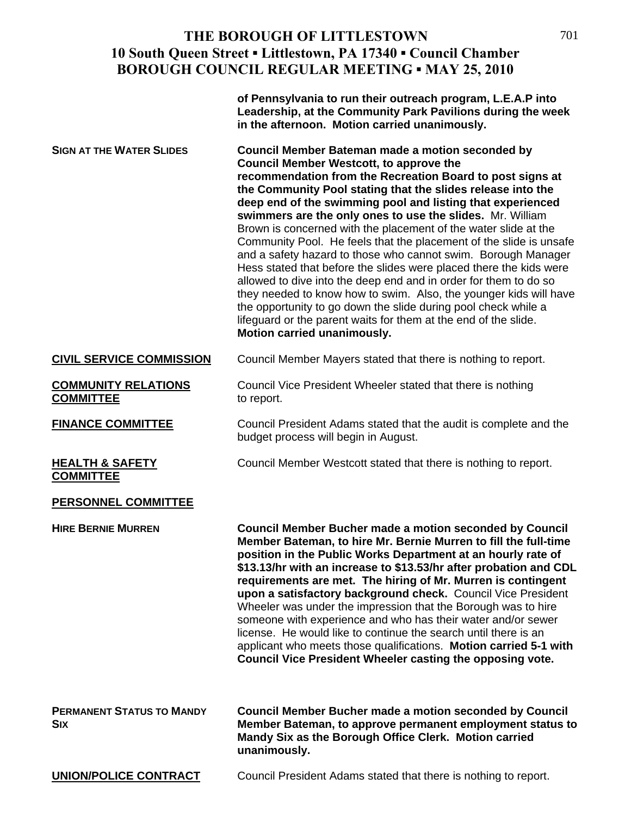|                                                | of Pennsylvania to run their outreach program, L.E.A.P into<br>Leadership, at the Community Park Pavilions during the week<br>in the afternoon. Motion carried unanimously.                                                                                                                                                                                                                                                                                                                                                                                                                                                                                                                                                                                                                                                                                                                                                                            |
|------------------------------------------------|--------------------------------------------------------------------------------------------------------------------------------------------------------------------------------------------------------------------------------------------------------------------------------------------------------------------------------------------------------------------------------------------------------------------------------------------------------------------------------------------------------------------------------------------------------------------------------------------------------------------------------------------------------------------------------------------------------------------------------------------------------------------------------------------------------------------------------------------------------------------------------------------------------------------------------------------------------|
| <b>SIGN AT THE WATER SLIDES</b>                | Council Member Bateman made a motion seconded by<br><b>Council Member Westcott, to approve the</b><br>recommendation from the Recreation Board to post signs at<br>the Community Pool stating that the slides release into the<br>deep end of the swimming pool and listing that experienced<br>swimmers are the only ones to use the slides. Mr. William<br>Brown is concerned with the placement of the water slide at the<br>Community Pool. He feels that the placement of the slide is unsafe<br>and a safety hazard to those who cannot swim. Borough Manager<br>Hess stated that before the slides were placed there the kids were<br>allowed to dive into the deep end and in order for them to do so<br>they needed to know how to swim. Also, the younger kids will have<br>the opportunity to go down the slide during pool check while a<br>lifeguard or the parent waits for them at the end of the slide.<br>Motion carried unanimously. |
| <b>CIVIL SERVICE COMMISSION</b>                | Council Member Mayers stated that there is nothing to report.                                                                                                                                                                                                                                                                                                                                                                                                                                                                                                                                                                                                                                                                                                                                                                                                                                                                                          |
| <b>COMMUNITY RELATIONS</b><br><b>COMMITTEE</b> | Council Vice President Wheeler stated that there is nothing<br>to report.                                                                                                                                                                                                                                                                                                                                                                                                                                                                                                                                                                                                                                                                                                                                                                                                                                                                              |
| <b>FINANCE COMMITTEE</b>                       | Council President Adams stated that the audit is complete and the<br>budget process will begin in August.                                                                                                                                                                                                                                                                                                                                                                                                                                                                                                                                                                                                                                                                                                                                                                                                                                              |
| <b>HEALTH &amp; SAFETY</b><br><b>COMMITTEE</b> | Council Member Westcott stated that there is nothing to report.                                                                                                                                                                                                                                                                                                                                                                                                                                                                                                                                                                                                                                                                                                                                                                                                                                                                                        |
| <b>PERSONNEL COMMITTEE</b>                     |                                                                                                                                                                                                                                                                                                                                                                                                                                                                                                                                                                                                                                                                                                                                                                                                                                                                                                                                                        |
| <b>HIRE BERNIE MURREN</b>                      | <b>Council Member Bucher made a motion seconded by Council</b><br>Member Bateman, to hire Mr. Bernie Murren to fill the full-time<br>position in the Public Works Department at an hourly rate of<br>\$13.13/hr with an increase to \$13.53/hr after probation and CDL<br>requirements are met. The hiring of Mr. Murren is contingent<br>upon a satisfactory background check. Council Vice President<br>Wheeler was under the impression that the Borough was to hire<br>someone with experience and who has their water and/or sewer<br>license. He would like to continue the search until there is an<br>applicant who meets those qualifications. Motion carried 5-1 with<br>Council Vice President Wheeler casting the opposing vote.                                                                                                                                                                                                           |
| <b>PERMANENT STATUS TO MANDY</b><br>Civ        | Council Member Bucher made a motion seconded by Council<br>Mamber Rataman, to annroya nermanent employment status to                                                                                                                                                                                                                                                                                                                                                                                                                                                                                                                                                                                                                                                                                                                                                                                                                                   |

**SIX Member Bateman, to approve permanent employment status to Mandy Six as the Borough Office Clerk. Motion carried unanimously.** 

**UNION/POLICE CONTRACT** Council President Adams stated that there is nothing to report.